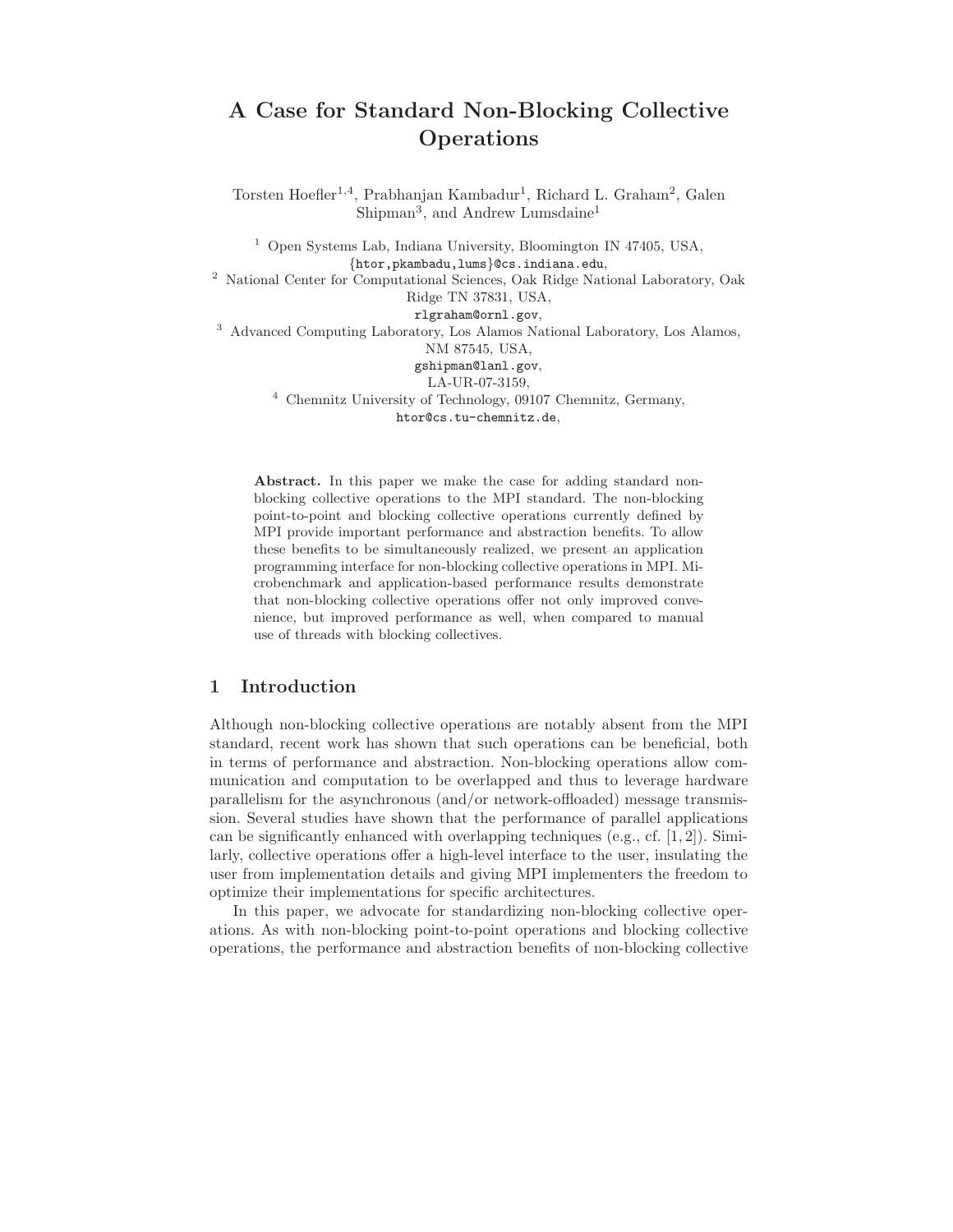# A Case for Standard Non-Blocking Collective **Operations**

Torsten Hoefler<sup>1,4</sup>, Prabhanjan Kambadur<sup>1</sup>, Richard L. Graham<sup>2</sup>, Galen Shipman<sup>3</sup>, and Andrew Lumsdaine<sup>1</sup>

<sup>1</sup> Open Systems Lab, Indiana University, Bloomington IN 47405, USA, {htor,pkambadu,lums}@cs.indiana.edu, <sup>2</sup> National Center for Computational Sciences, Oak Ridge National Laboratory, Oak Ridge TN 37831, USA, rlgraham@ornl.gov, <sup>3</sup> Advanced Computing Laboratory, Los Alamos National Laboratory, Los Alamos, NM 87545, USA,

gshipman@lanl.gov,

LA-UR-07-3159,

<sup>4</sup> Chemnitz University of Technology, 09107 Chemnitz, Germany, htor@cs.tu-chemnitz.de,

Abstract. In this paper we make the case for adding standard nonblocking collective operations to the MPI standard. The non-blocking point-to-point and blocking collective operations currently defined by MPI provide important performance and abstraction benefits. To allow these benefits to be simultaneously realized, we present an application programming interface for non-blocking collective operations in MPI. Microbenchmark and application-based performance results demonstrate that non-blocking collective operations offer not only improved convenience, but improved performance as well, when compared to manual use of threads with blocking collectives.

### 1 Introduction

Although non-blocking collective operations are notably absent from the MPI standard, recent work has shown that such operations can be beneficial, both in terms of performance and abstraction. Non-blocking operations allow communication and computation to be overlapped and thus to leverage hardware parallelism for the asynchronous (and/or network-offloaded) message transmission. Several studies have shown that the performance of parallel applications can be significantly enhanced with overlapping techniques (e.g., cf.  $[1, 2]$ ). Similarly, collective operations offer a high-level interface to the user, insulating the user from implementation details and giving MPI implementers the freedom to optimize their implementations for specific architectures.

In this paper, we advocate for standardizing non-blocking collective operations. As with non-blocking point-to-point operations and blocking collective operations, the performance and abstraction benefits of non-blocking collective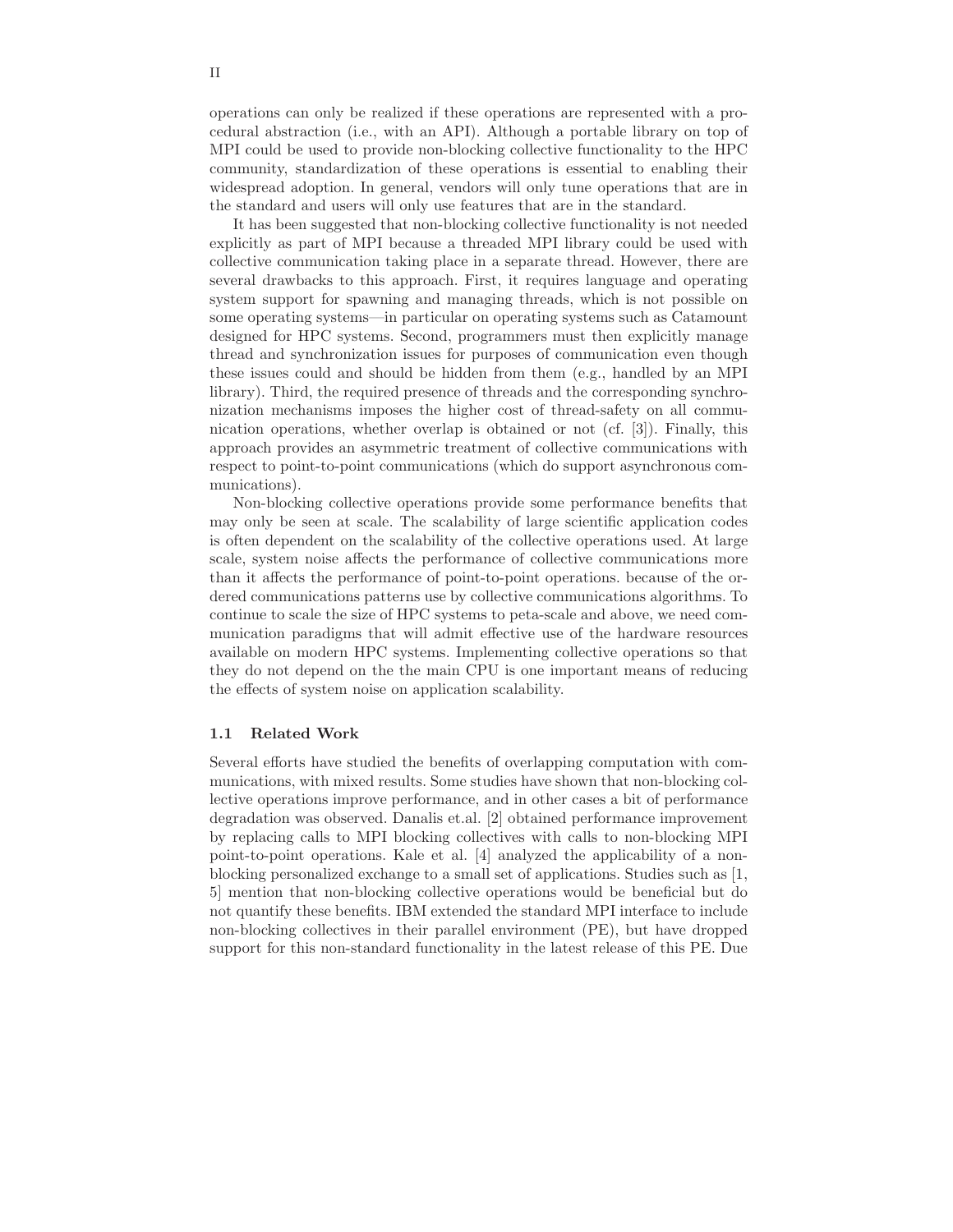operations can only be realized if these operations are represented with a procedural abstraction (i.e., with an API). Although a portable library on top of MPI could be used to provide non-blocking collective functionality to the HPC community, standardization of these operations is essential to enabling their widespread adoption. In general, vendors will only tune operations that are in the standard and users will only use features that are in the standard.

It has been suggested that non-blocking collective functionality is not needed explicitly as part of MPI because a threaded MPI library could be used with collective communication taking place in a separate thread. However, there are several drawbacks to this approach. First, it requires language and operating system support for spawning and managing threads, which is not possible on some operating systems—in particular on operating systems such as Catamount designed for HPC systems. Second, programmers must then explicitly manage thread and synchronization issues for purposes of communication even though these issues could and should be hidden from them (e.g., handled by an MPI library). Third, the required presence of threads and the corresponding synchronization mechanisms imposes the higher cost of thread-safety on all communication operations, whether overlap is obtained or not (cf. [3]). Finally, this approach provides an asymmetric treatment of collective communications with respect to point-to-point communications (which do support asynchronous communications).

Non-blocking collective operations provide some performance benefits that may only be seen at scale. The scalability of large scientific application codes is often dependent on the scalability of the collective operations used. At large scale, system noise affects the performance of collective communications more than it affects the performance of point-to-point operations. because of the ordered communications patterns use by collective communications algorithms. To continue to scale the size of HPC systems to peta-scale and above, we need communication paradigms that will admit effective use of the hardware resources available on modern HPC systems. Implementing collective operations so that they do not depend on the the main CPU is one important means of reducing the effects of system noise on application scalability.

#### 1.1 Related Work

Several efforts have studied the benefits of overlapping computation with communications, with mixed results. Some studies have shown that non-blocking collective operations improve performance, and in other cases a bit of performance degradation was observed. Danalis et.al. [2] obtained performance improvement by replacing calls to MPI blocking collectives with calls to non-blocking MPI point-to-point operations. Kale et al. [4] analyzed the applicability of a nonblocking personalized exchange to a small set of applications. Studies such as [1, 5] mention that non-blocking collective operations would be beneficial but do not quantify these benefits. IBM extended the standard MPI interface to include non-blocking collectives in their parallel environment (PE), but have dropped support for this non-standard functionality in the latest release of this PE. Due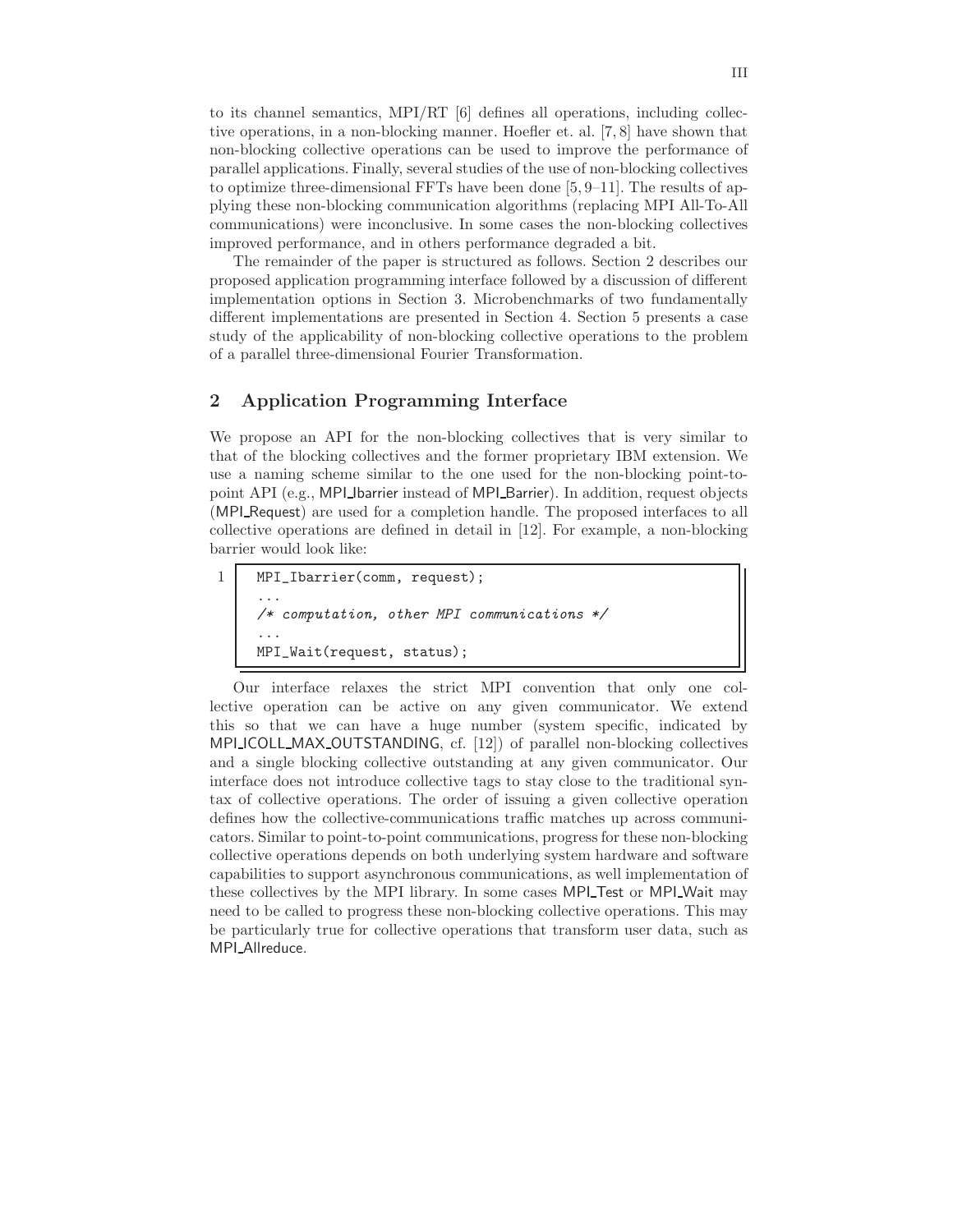to its channel semantics, MPI/RT [6] defines all operations, including collective operations, in a non-blocking manner. Hoefler et. al. [7, 8] have shown that non-blocking collective operations can be used to improve the performance of parallel applications. Finally, several studies of the use of non-blocking collectives to optimize three-dimensional FFTs have been done [5, 9–11]. The results of applying these non-blocking communication algorithms (replacing MPI All-To-All communications) were inconclusive. In some cases the non-blocking collectives improved performance, and in others performance degraded a bit.

The remainder of the paper is structured as follows. Section 2 describes our proposed application programming interface followed by a discussion of different implementation options in Section 3. Microbenchmarks of two fundamentally different implementations are presented in Section 4. Section 5 presents a case study of the applicability of non-blocking collective operations to the problem of a parallel three-dimensional Fourier Transformation.

# 2 Application Programming Interface

We propose an API for the non-blocking collectives that is very similar to that of the blocking collectives and the former proprietary IBM extension. We use a naming scheme similar to the one used for the non-blocking point-topoint API (e.g., MPI Ibarrier instead of MPI Barrier). In addition, request objects (MPI Request) are used for a completion handle. The proposed interfaces to all collective operations are defined in detail in [12]. For example, a non-blocking barrier would look like:

```
1 | MPI_Ibarrier(comm, request);
...
/* computation, other MPI communications */
...
MPI_Wait(request, status);
```
Our interface relaxes the strict MPI convention that only one collective operation can be active on any given communicator. We extend this so that we can have a huge number (system specific, indicated by MPI ICOLL MAX OUTSTANDING, cf. [12]) of parallel non-blocking collectives and a single blocking collective outstanding at any given communicator. Our interface does not introduce collective tags to stay close to the traditional syntax of collective operations. The order of issuing a given collective operation defines how the collective-communications traffic matches up across communicators. Similar to point-to-point communications, progress for these non-blocking collective operations depends on both underlying system hardware and software capabilities to support asynchronous communications, as well implementation of these collectives by the MPI library. In some cases MPI Test or MPI Wait may need to be called to progress these non-blocking collective operations. This may be particularly true for collective operations that transform user data, such as MPI\_Allreduce.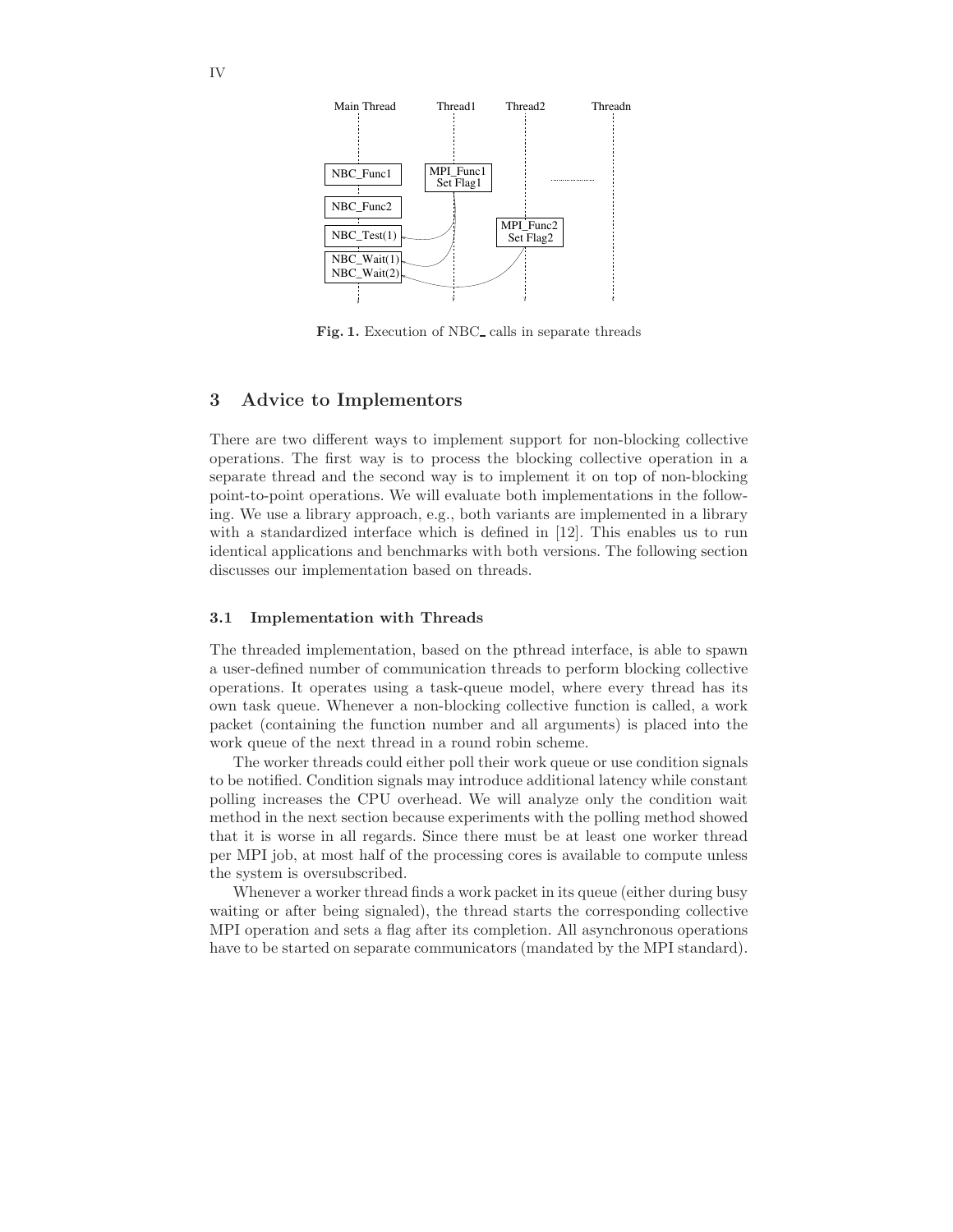

Fig. 1. Execution of NBC<sub></sub> calls in separate threads

# 3 Advice to Implementors

There are two different ways to implement support for non-blocking collective operations. The first way is to process the blocking collective operation in a separate thread and the second way is to implement it on top of non-blocking point-to-point operations. We will evaluate both implementations in the following. We use a library approach, e.g., both variants are implemented in a library with a standardized interface which is defined in [12]. This enables us to run identical applications and benchmarks with both versions. The following section discusses our implementation based on threads.

#### 3.1 Implementation with Threads

The threaded implementation, based on the pthread interface, is able to spawn a user-defined number of communication threads to perform blocking collective operations. It operates using a task-queue model, where every thread has its own task queue. Whenever a non-blocking collective function is called, a work packet (containing the function number and all arguments) is placed into the work queue of the next thread in a round robin scheme.

The worker threads could either poll their work queue or use condition signals to be notified. Condition signals may introduce additional latency while constant polling increases the CPU overhead. We will analyze only the condition wait method in the next section because experiments with the polling method showed that it is worse in all regards. Since there must be at least one worker thread per MPI job, at most half of the processing cores is available to compute unless the system is oversubscribed.

Whenever a worker thread finds a work packet in its queue (either during busy waiting or after being signaled), the thread starts the corresponding collective MPI operation and sets a flag after its completion. All asynchronous operations have to be started on separate communicators (mandated by the MPI standard).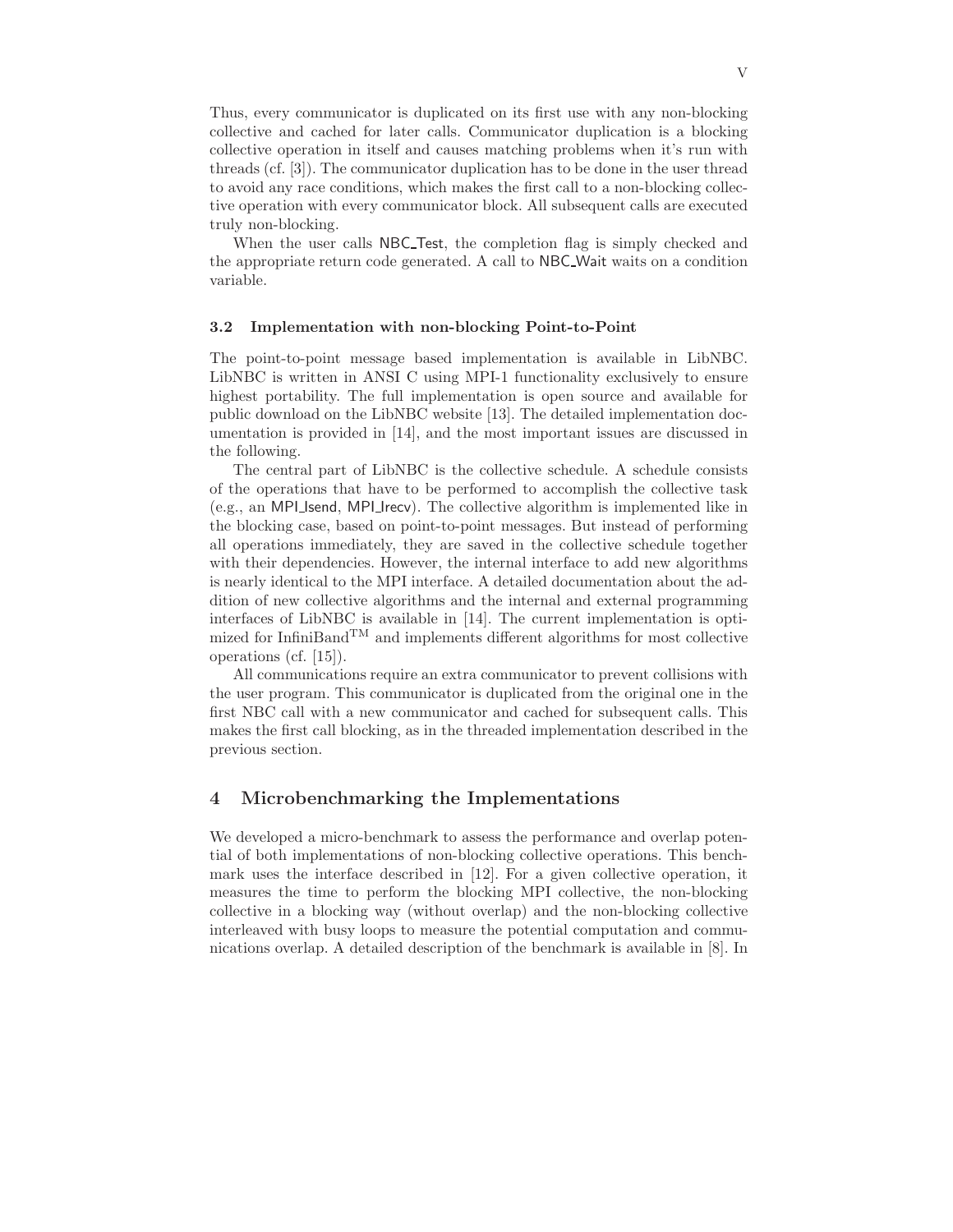Thus, every communicator is duplicated on its first use with any non-blocking collective and cached for later calls. Communicator duplication is a blocking collective operation in itself and causes matching problems when it's run with threads (cf. [3]). The communicator duplication has to be done in the user thread to avoid any race conditions, which makes the first call to a non-blocking collective operation with every communicator block. All subsequent calls are executed truly non-blocking.

When the user calls NBC Test, the completion flag is simply checked and the appropriate return code generated. A call to NBC Wait waits on a condition variable.

#### 3.2 Implementation with non-blocking Point-to-Point

The point-to-point message based implementation is available in LibNBC. LibNBC is written in ANSI C using MPI-1 functionality exclusively to ensure highest portability. The full implementation is open source and available for public download on the LibNBC website [13]. The detailed implementation documentation is provided in [14], and the most important issues are discussed in the following.

The central part of LibNBC is the collective schedule. A schedule consists of the operations that have to be performed to accomplish the collective task (e.g., an MPI Isend, MPI Irecv). The collective algorithm is implemented like in the blocking case, based on point-to-point messages. But instead of performing all operations immediately, they are saved in the collective schedule together with their dependencies. However, the internal interface to add new algorithms is nearly identical to the MPI interface. A detailed documentation about the addition of new collective algorithms and the internal and external programming interfaces of LibNBC is available in [14]. The current implementation is optimized for InfiniBand<sup>TM</sup> and implements different algorithms for most collective operations (cf. [15]).

All communications require an extra communicator to prevent collisions with the user program. This communicator is duplicated from the original one in the first NBC call with a new communicator and cached for subsequent calls. This makes the first call blocking, as in the threaded implementation described in the previous section.

## 4 Microbenchmarking the Implementations

We developed a micro-benchmark to assess the performance and overlap potential of both implementations of non-blocking collective operations. This benchmark uses the interface described in [12]. For a given collective operation, it measures the time to perform the blocking MPI collective, the non-blocking collective in a blocking way (without overlap) and the non-blocking collective interleaved with busy loops to measure the potential computation and communications overlap. A detailed description of the benchmark is available in [8]. In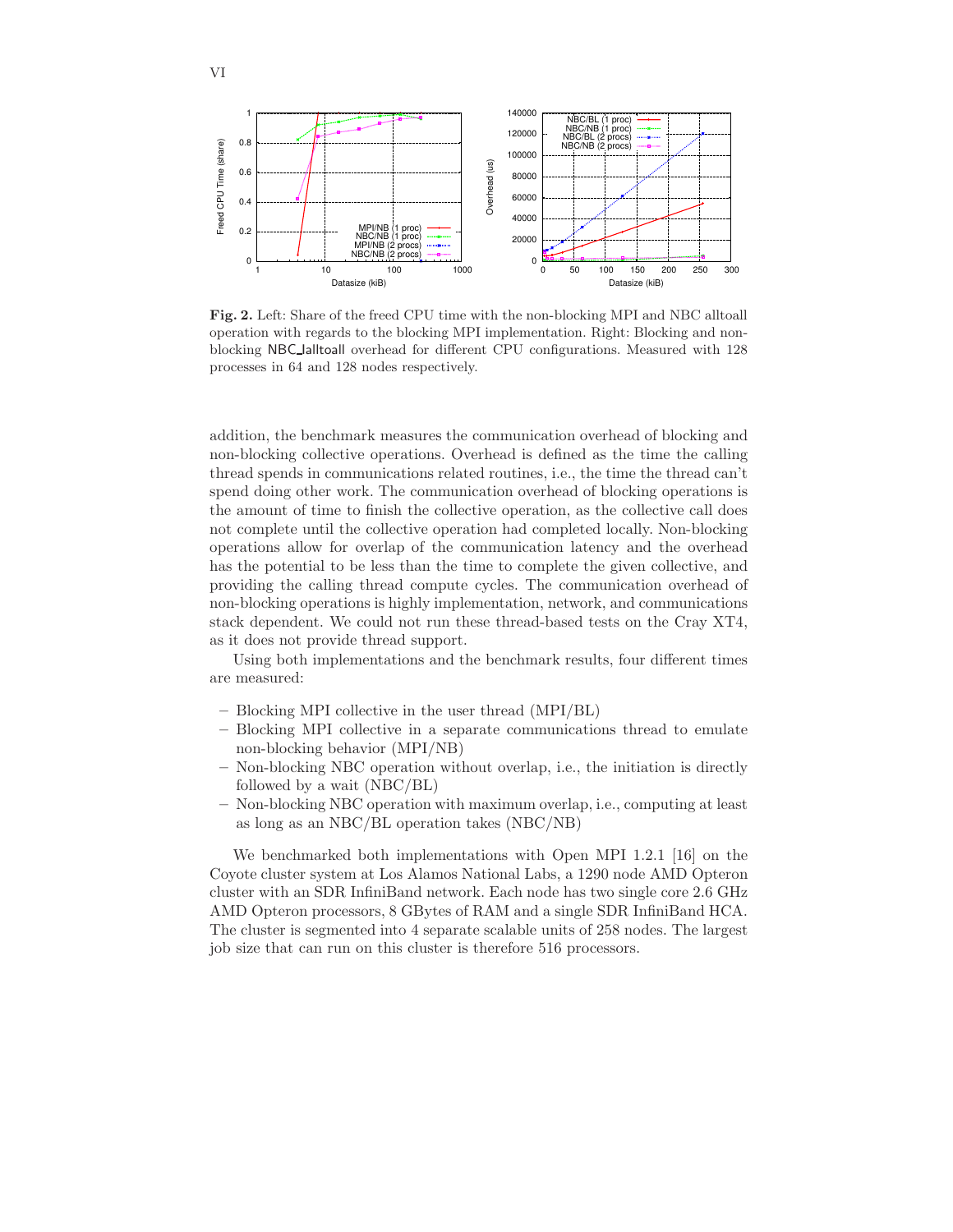

Fig. 2. Left: Share of the freed CPU time with the non-blocking MPI and NBC alltoall operation with regards to the blocking MPI implementation. Right: Blocking and nonblocking NBC Ialltoall overhead for different CPU configurations. Measured with 128 processes in 64 and 128 nodes respectively.

addition, the benchmark measures the communication overhead of blocking and non-blocking collective operations. Overhead is defined as the time the calling thread spends in communications related routines, i.e., the time the thread can't spend doing other work. The communication overhead of blocking operations is the amount of time to finish the collective operation, as the collective call does not complete until the collective operation had completed locally. Non-blocking operations allow for overlap of the communication latency and the overhead has the potential to be less than the time to complete the given collective, and providing the calling thread compute cycles. The communication overhead of non-blocking operations is highly implementation, network, and communications stack dependent. We could not run these thread-based tests on the Cray XT4, as it does not provide thread support.

Using both implementations and the benchmark results, four different times are measured:

- Blocking MPI collective in the user thread (MPI/BL)
- Blocking MPI collective in a separate communications thread to emulate non-blocking behavior (MPI/NB)
- Non-blocking NBC operation without overlap, i.e., the initiation is directly followed by a wait (NBC/BL)
- Non-blocking NBC operation with maximum overlap, i.e., computing at least as long as an NBC/BL operation takes (NBC/NB)

We benchmarked both implementations with Open MPI 1.2.1 [16] on the Coyote cluster system at Los Alamos National Labs, a 1290 node AMD Opteron cluster with an SDR InfiniBand network. Each node has two single core 2.6 GHz AMD Opteron processors, 8 GBytes of RAM and a single SDR InfiniBand HCA. The cluster is segmented into 4 separate scalable units of 258 nodes. The largest job size that can run on this cluster is therefore 516 processors.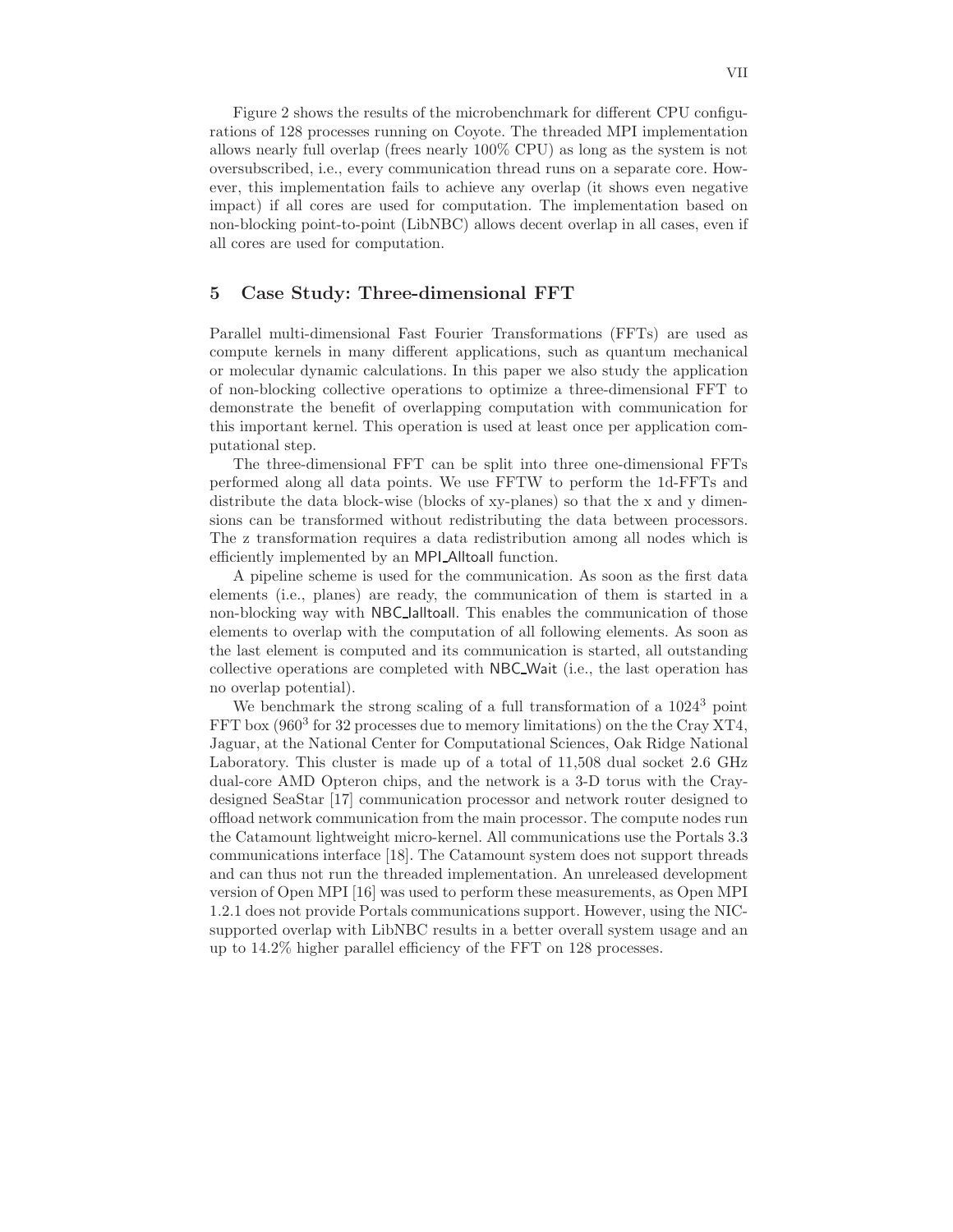Figure 2 shows the results of the microbenchmark for different CPU configurations of 128 processes running on Coyote. The threaded MPI implementation allows nearly full overlap (frees nearly 100% CPU) as long as the system is not oversubscribed, i.e., every communication thread runs on a separate core. However, this implementation fails to achieve any overlap (it shows even negative impact) if all cores are used for computation. The implementation based on non-blocking point-to-point (LibNBC) allows decent overlap in all cases, even if all cores are used for computation.

## 5 Case Study: Three-dimensional FFT

Parallel multi-dimensional Fast Fourier Transformations (FFTs) are used as compute kernels in many different applications, such as quantum mechanical or molecular dynamic calculations. In this paper we also study the application of non-blocking collective operations to optimize a three-dimensional FFT to demonstrate the benefit of overlapping computation with communication for this important kernel. This operation is used at least once per application computational step.

The three-dimensional FFT can be split into three one-dimensional FFTs performed along all data points. We use FFTW to perform the 1d-FFTs and distribute the data block-wise (blocks of xy-planes) so that the x and y dimensions can be transformed without redistributing the data between processors. The z transformation requires a data redistribution among all nodes which is efficiently implemented by an MPI Alltoall function.

A pipeline scheme is used for the communication. As soon as the first data elements (i.e., planes) are ready, the communication of them is started in a non-blocking way with NBC Ialltoall. This enables the communication of those elements to overlap with the computation of all following elements. As soon as the last element is computed and its communication is started, all outstanding collective operations are completed with NBC Wait (i.e., the last operation has no overlap potential).

We benchmark the strong scaling of a full transformation of a  $1024^3$  point FFT box (960<sup>3</sup> for 32 processes due to memory limitations) on the the Cray XT4, Jaguar, at the National Center for Computational Sciences, Oak Ridge National Laboratory. This cluster is made up of a total of 11,508 dual socket 2.6 GHz dual-core AMD Opteron chips, and the network is a 3-D torus with the Craydesigned SeaStar [17] communication processor and network router designed to offload network communication from the main processor. The compute nodes run the Catamount lightweight micro-kernel. All communications use the Portals 3.3 communications interface [18]. The Catamount system does not support threads and can thus not run the threaded implementation. An unreleased development version of Open MPI [16] was used to perform these measurements, as Open MPI 1.2.1 does not provide Portals communications support. However, using the NICsupported overlap with LibNBC results in a better overall system usage and an up to 14.2% higher parallel efficiency of the FFT on 128 processes.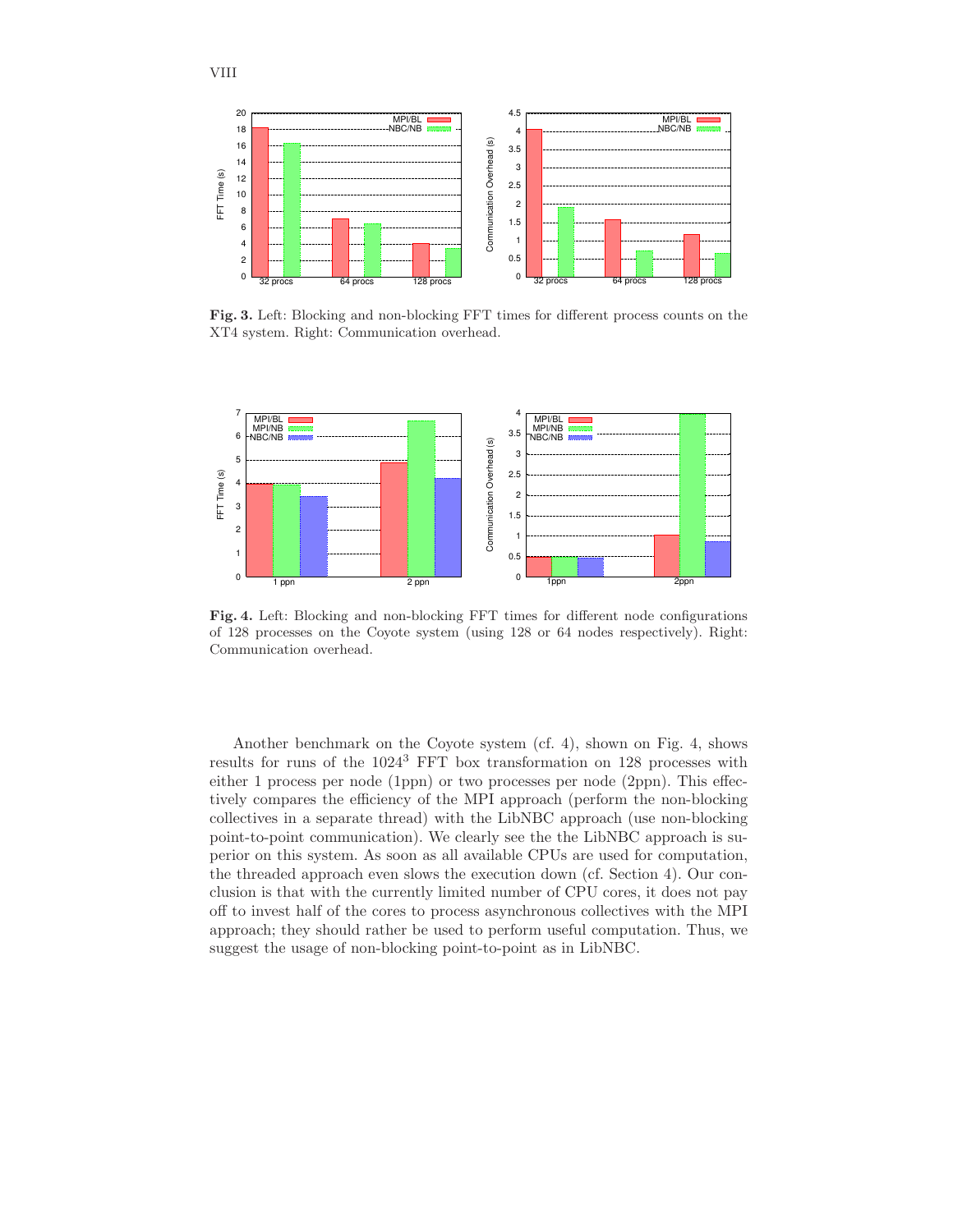

Fig. 3. Left: Blocking and non-blocking FFT times for different process counts on the XT4 system. Right: Communication overhead.



Fig. 4. Left: Blocking and non-blocking FFT times for different node configurations of 128 processes on the Coyote system (using 128 or 64 nodes respectively). Right: Communication overhead.

Another benchmark on the Coyote system (cf. 4), shown on Fig. 4, shows results for runs of the 1024<sup>3</sup> FFT box transformation on 128 processes with either 1 process per node (1ppn) or two processes per node (2ppn). This effectively compares the efficiency of the MPI approach (perform the non-blocking collectives in a separate thread) with the LibNBC approach (use non-blocking point-to-point communication). We clearly see the the LibNBC approach is superior on this system. As soon as all available CPUs are used for computation, the threaded approach even slows the execution down (cf. Section 4). Our conclusion is that with the currently limited number of CPU cores, it does not pay off to invest half of the cores to process asynchronous collectives with the MPI approach; they should rather be used to perform useful computation. Thus, we suggest the usage of non-blocking point-to-point as in LibNBC.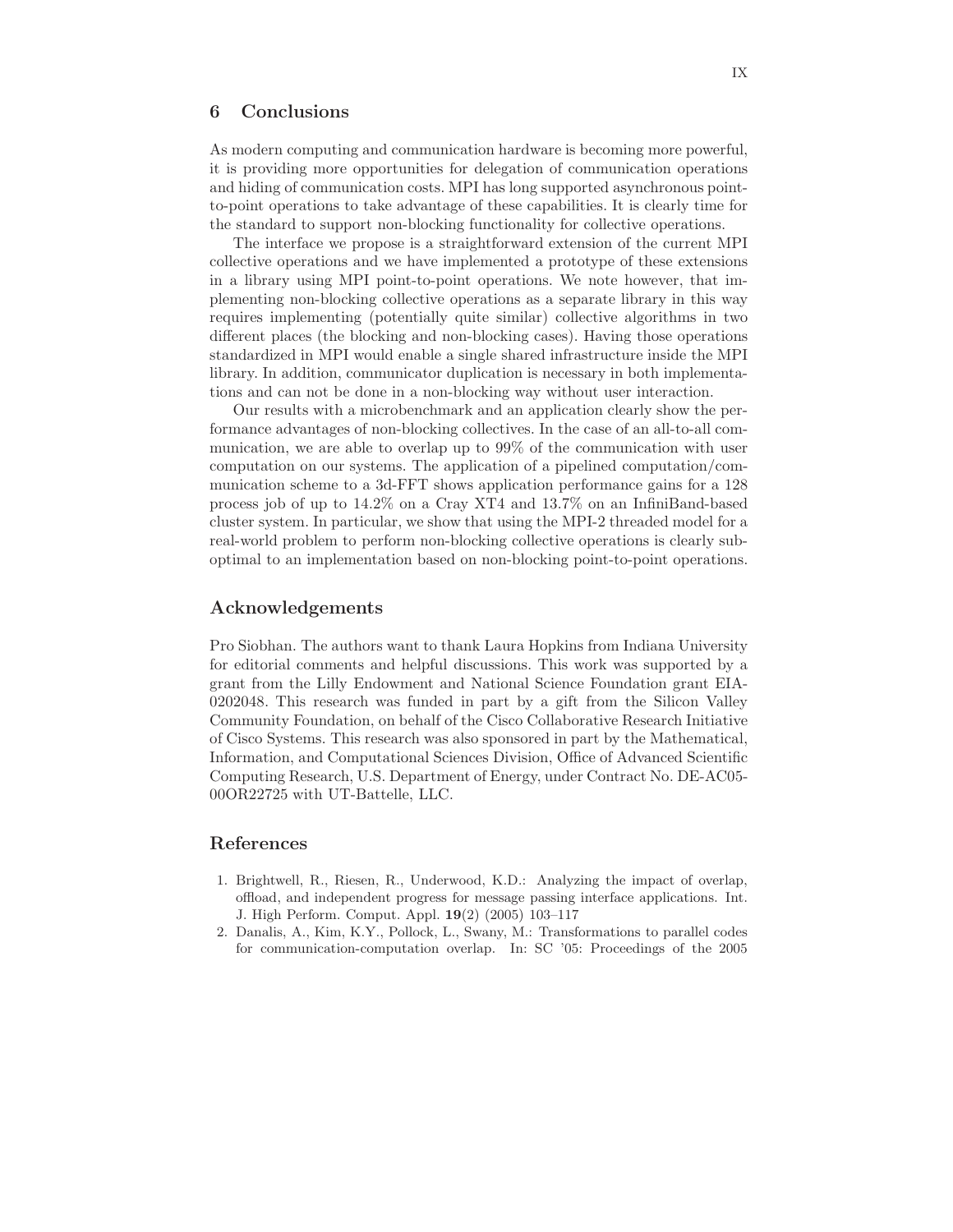# 6 Conclusions

As modern computing and communication hardware is becoming more powerful, it is providing more opportunities for delegation of communication operations and hiding of communication costs. MPI has long supported asynchronous pointto-point operations to take advantage of these capabilities. It is clearly time for the standard to support non-blocking functionality for collective operations.

The interface we propose is a straightforward extension of the current MPI collective operations and we have implemented a prototype of these extensions in a library using MPI point-to-point operations. We note however, that implementing non-blocking collective operations as a separate library in this way requires implementing (potentially quite similar) collective algorithms in two different places (the blocking and non-blocking cases). Having those operations standardized in MPI would enable a single shared infrastructure inside the MPI library. In addition, communicator duplication is necessary in both implementations and can not be done in a non-blocking way without user interaction.

Our results with a microbenchmark and an application clearly show the performance advantages of non-blocking collectives. In the case of an all-to-all communication, we are able to overlap up to 99% of the communication with user computation on our systems. The application of a pipelined computation/communication scheme to a 3d-FFT shows application performance gains for a 128 process job of up to 14.2% on a Cray XT4 and 13.7% on an InfiniBand-based cluster system. In particular, we show that using the MPI-2 threaded model for a real-world problem to perform non-blocking collective operations is clearly suboptimal to an implementation based on non-blocking point-to-point operations.

# Acknowledgements

Pro Siobhan. The authors want to thank Laura Hopkins from Indiana University for editorial comments and helpful discussions. This work was supported by a grant from the Lilly Endowment and National Science Foundation grant EIA-0202048. This research was funded in part by a gift from the Silicon Valley Community Foundation, on behalf of the Cisco Collaborative Research Initiative of Cisco Systems. This research was also sponsored in part by the Mathematical, Information, and Computational Sciences Division, Office of Advanced Scientific Computing Research, U.S. Department of Energy, under Contract No. DE-AC05- 00OR22725 with UT-Battelle, LLC.

# References

- 1. Brightwell, R., Riesen, R., Underwood, K.D.: Analyzing the impact of overlap, offload, and independent progress for message passing interface applications. Int. J. High Perform. Comput. Appl. 19(2) (2005) 103–117
- 2. Danalis, A., Kim, K.Y., Pollock, L., Swany, M.: Transformations to parallel codes for communication-computation overlap. In: SC '05: Proceedings of the 2005